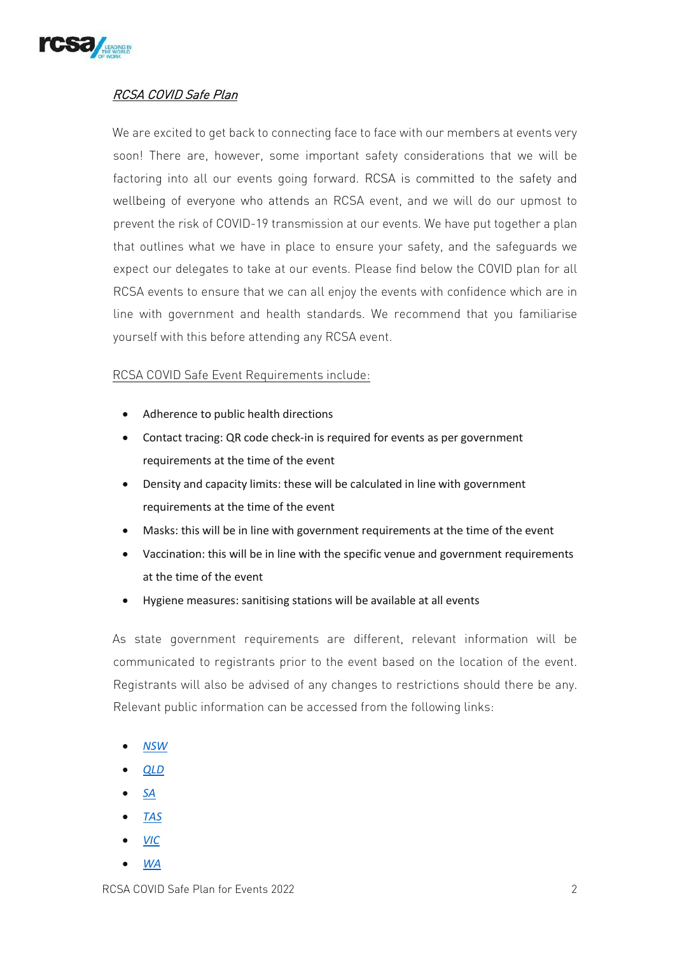

## RCSA COVID Safe Plan

We are excited to get back to connecting face to face with our members at events very soon! There are, however, some important safety considerations that we will be factoring into all our events going forward. RCSA is committed to the safety and wellbeing of everyone who attends an RCSA event, and we will do our upmost to prevent the risk of COVID-19 transmission at our events. We have put together a plan that outlines what we have in place to ensure your safety, and the safeguards we expect our delegates to take at our events. Please find below the COVID plan for all RCSA events to ensure that we can all enjoy the events with confidence which are in line with government and health standards. We recommend that you familiarise yourself with this before attending any RCSA event.

## RCSA COVID Safe Event Requirements include:

- Adherence to public health directions
- Contact tracing: QR code check-in is required for events as per government requirements at the time of the event
- Density and capacity limits: these will be calculated in line with government requirements at the time of the event
- Masks: this will be in line with government requirements at the time of the event
- Vaccination: this will be in line with the specific venue and government requirements at the time of the event
- Hygiene measures: sanitising stations will be available at all events

As state government requirements are different, relevant information will be communicated to registrants prior to the event based on the location of the event. Registrants will also be advised of any changes to restrictions should there be any. Relevant public information can be accessed from the following links:

- *[NSW](https://www.nsw.gov.au/covid-19)*
- *[QLD](https://www.qld.gov.au/health/conditions/health-alerts/coronavirus-covid-19)*
- *[SA](https://www.covid-19.sa.gov.au/restrictions-and-responsibilities/activities-and-gatherings/current-activity-restrictions)*
- *[TAS](https://www.coronavirus.tas.gov.au/)*
- *[VIC](https://www.coronavirus.vic.gov.au/)*
- *[WA](https://www.wa.gov.au/government/covid-19-coronavirus)*